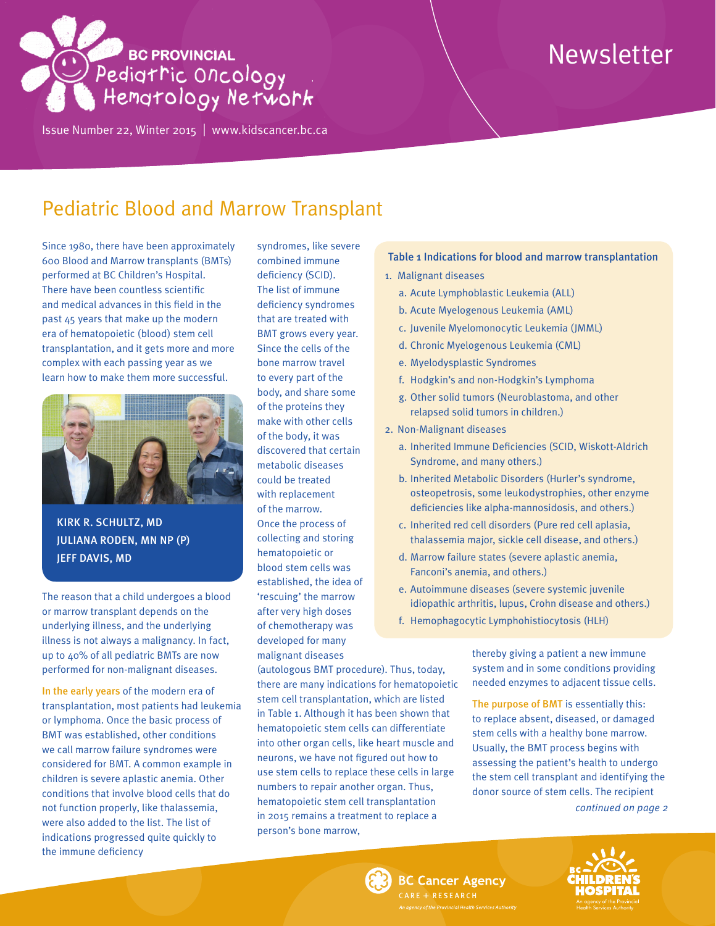# **BC PROVINCIAL** Pedigtric Oncology

Issue Number 22, Winter 2015 | <www.kidscancer.bc.ca>

# Newsletter

## Pediatric Blood and Marrow Transplant

Since 1980, there have been approximately 600 Blood and Marrow transplants (BMTs) performed at BC Children's Hospital. There have been countless scientific and medical advances in this field in the past 45 years that make up the modern era of hematopoietic (blood) stem cell transplantation, and it gets more and more complex with each passing year as we learn how to make them more successful.



KIRK R. SCHULTZ, MD JULIANA RODEN, MN NP (P) JEFF DAVIS, MD

The reason that a child undergoes a blood or marrow transplant depends on the underlying illness, and the underlying illness is not always a malignancy. In fact, up to 40% of all pediatric BMTs are now performed for non-malignant diseases.

In the early years of the modern era of transplantation, most patients had leukemia or lymphoma. Once the basic process of BMT was established, other conditions we call marrow failure syndromes were considered for BMT. A common example in children is severe aplastic anemia. Other conditions that involve blood cells that do not function properly, like thalassemia, were also added to the list. The list of indications progressed quite quickly to the immune deficiency

syndromes, like severe combined immune deficiency (SCID). The list of immune deficiency syndromes that are treated with BMT grows every year. Since the cells of the bone marrow travel to every part of the body, and share some of the proteins they make with other cells of the body, it was discovered that certain metabolic diseases could be treated with replacement of the marrow. Once the process of collecting and storing hematopoietic or blood stem cells was established, the idea of 'rescuing' the marrow after very high doses of chemotherapy was developed for many malignant diseases

(autologous BMT procedure). Thus, today, there are many indications for hematopoietic stem cell transplantation, which are listed in Table 1. Although it has been shown that hematopoietic stem cells can differentiate into other organ cells, like heart muscle and neurons, we have not figured out how to use stem cells to replace these cells in large numbers to repair another organ. Thus, hematopoietic stem cell transplantation in 2015 remains a treatment to replace a person's bone marrow,

#### Table 1 Indications for blood and marrow transplantation

- 1. Malignant diseases
	- a. Acute Lymphoblastic Leukemia (ALL)
	- b. Acute Myelogenous Leukemia (AML)
	- c. Juvenile Myelomonocytic Leukemia (JMML)
	- d. Chronic Myelogenous Leukemia (CML)
	- e. Myelodysplastic Syndromes
	- f. Hodgkin's and non-Hodgkin's Lymphoma
	- g. Other solid tumors (Neuroblastoma, and other relapsed solid tumors in children.)
- 2. Non-Malignant diseases
	- a. Inherited Immune Deficiencies (SCID, Wiskott-Aldrich Syndrome, and many others.)
	- b. Inherited Metabolic Disorders (Hurler's syndrome, osteopetrosis, some leukodystrophies, other enzyme deficiencies like alpha-mannosidosis, and others.)
	- c. Inherited red cell disorders (Pure red cell aplasia, thalassemia major, sickle cell disease, and others.)
	- d. Marrow failure states (severe aplastic anemia, Fanconi's anemia, and others.)
	- e. Autoimmune diseases (severe systemic juvenile idiopathic arthritis, lupus, Crohn disease and others.)
	- f. Hemophagocytic Lymphohistiocytosis (HLH)

thereby giving a patient a new immune system and in some conditions providing needed enzymes to adjacent tissue cells.

The purpose of BMT is essentially this: to replace absent, diseased, or damaged stem cells with a healthy bone marrow. Usually, the BMT process begins with assessing the patient's health to undergo the stem cell transplant and identifying the donor source of stem cells. The recipient

*continued on page 2*



**BC Cancer Agency** ARE + RESEARCH

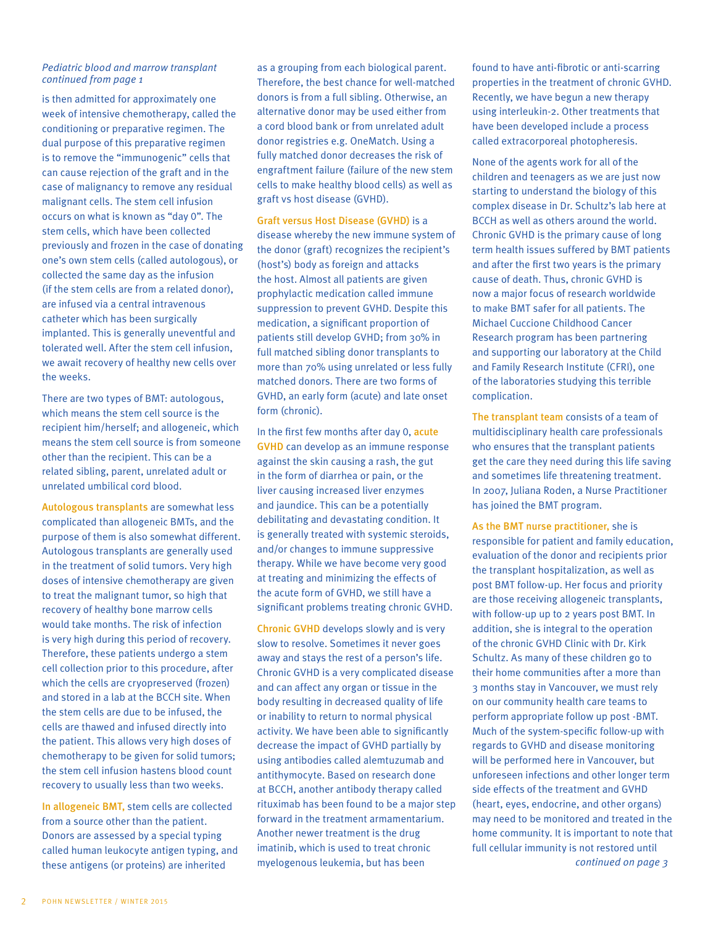#### *Pediatric blood and marrow transplant continued from page 1*

is then admitted for approximately one week of intensive chemotherapy, called the conditioning or preparative regimen. The dual purpose of this preparative regimen is to remove the "immunogenic" cells that can cause rejection of the graft and in the case of malignancy to remove any residual malignant cells. The stem cell infusion occurs on what is known as "day 0". The stem cells, which have been collected previously and frozen in the case of donating one's own stem cells (called autologous), or collected the same day as the infusion (if the stem cells are from a related donor), are infused via a central intravenous catheter which has been surgically implanted. This is generally uneventful and tolerated well. After the stem cell infusion, we await recovery of healthy new cells over the weeks.

There are two types of BMT: autologous, which means the stem cell source is the recipient him/herself; and allogeneic, which means the stem cell source is from someone other than the recipient. This can be a related sibling, parent, unrelated adult or unrelated umbilical cord blood.

Autologous transplants are somewhat less complicated than allogeneic BMTs, and the purpose of them is also somewhat different. Autologous transplants are generally used in the treatment of solid tumors. Very high doses of intensive chemotherapy are given to treat the malignant tumor, so high that recovery of healthy bone marrow cells would take months. The risk of infection is very high during this period of recovery. Therefore, these patients undergo a stem cell collection prior to this procedure, after which the cells are cryopreserved (frozen) and stored in a lab at the BCCH site. When the stem cells are due to be infused, the cells are thawed and infused directly into the patient. This allows very high doses of chemotherapy to be given for solid tumors; the stem cell infusion hastens blood count recovery to usually less than two weeks.

In allogeneic BMT, stem cells are collected from a source other than the patient. Donors are assessed by a special typing called human leukocyte antigen typing, and these antigens (or proteins) are inherited

as a grouping from each biological parent. Therefore, the best chance for well-matched donors is from a full sibling. Otherwise, an alternative donor may be used either from a cord blood bank or from unrelated adult donor registries e.g. OneMatch. Using a fully matched donor decreases the risk of engraftment failure (failure of the new stem cells to make healthy blood cells) as well as graft vs host disease (GVHD).

Graft versus Host Disease (GVHD) is a disease whereby the new immune system of the donor (graft) recognizes the recipient's (host's) body as foreign and attacks the host. Almost all patients are given prophylactic medication called immune suppression to prevent GVHD. Despite this medication, a significant proportion of patients still develop GVHD; from 30% in full matched sibling donor transplants to more than 70% using unrelated or less fully matched donors. There are two forms of GVHD, an early form (acute) and late onset form (chronic).

In the first few months after day 0, acute GVHD can develop as an immune response against the skin causing a rash, the gut in the form of diarrhea or pain, or the liver causing increased liver enzymes and jaundice. This can be a potentially debilitating and devastating condition. It is generally treated with systemic steroids, and/or changes to immune suppressive therapy. While we have become very good at treating and minimizing the effects of the acute form of GVHD, we still have a significant problems treating chronic GVHD.

Chronic GVHD develops slowly and is very slow to resolve. Sometimes it never goes away and stays the rest of a person's life. Chronic GVHD is a very complicated disease and can affect any organ or tissue in the body resulting in decreased quality of life or inability to return to normal physical activity. We have been able to significantly decrease the impact of GVHD partially by using antibodies called alemtuzumab and antithymocyte. Based on research done at BCCH, another antibody therapy called rituximab has been found to be a major step forward in the treatment armamentarium. Another newer treatment is the drug imatinib, which is used to treat chronic myelogenous leukemia, but has been

found to have anti-fibrotic or anti-scarring properties in the treatment of chronic GVHD. Recently, we have begun a new therapy using interleukin-2. Other treatments that have been developed include a process called extracorporeal photopheresis.

None of the agents work for all of the children and teenagers as we are just now starting to understand the biology of this complex disease in Dr. Schultz's lab here at BCCH as well as others around the world. Chronic GVHD is the primary cause of long term health issues suffered by BMT patients and after the first two years is the primary cause of death. Thus, chronic GVHD is now a major focus of research worldwide to make BMT safer for all patients. The Michael Cuccione Childhood Cancer Research program has been partnering and supporting our laboratory at the Child and Family Research Institute (CFRI), one of the laboratories studying this terrible complication.

The transplant team consists of a team of multidisciplinary health care professionals who ensures that the transplant patients get the care they need during this life saving and sometimes life threatening treatment. In 2007, Juliana Roden, a Nurse Practitioner has joined the BMT program.

As the BMT nurse practitioner, she is responsible for patient and family education, evaluation of the donor and recipients prior the transplant hospitalization, as well as post BMT follow-up. Her focus and priority are those receiving allogeneic transplants, with follow-up up to 2 years post BMT. In addition, she is integral to the operation of the chronic GVHD Clinic with Dr. Kirk Schultz. As many of these children go to their home communities after a more than 3 months stay in Vancouver, we must rely on our community health care teams to perform appropriate follow up post -BMT. Much of the system-specific follow-up with regards to GVHD and disease monitoring will be performed here in Vancouver, but unforeseen infections and other longer term side effects of the treatment and GVHD (heart, eyes, endocrine, and other organs) may need to be monitored and treated in the home community. It is important to note that full cellular immunity is not restored until *continued on page 3*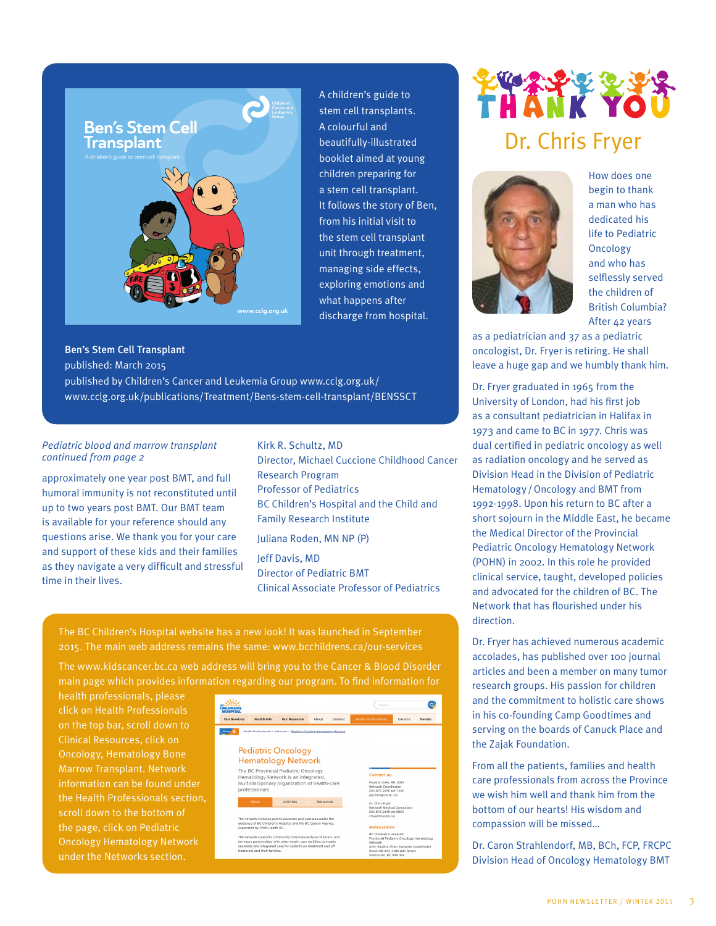

A children's guide to stem cell transplants. A colourful and beautifully-illustrated booklet aimed at young children preparing for a stem cell transplant. It follows the story of Ben, from his initial visit to the stem cell transplant unit through treatment, managing side effects, exploring emotions and what happens after discharge from hospital.

#### Ben's Stem Cell Transplant

published: March 2015

published by Children's Cancer and Leukemia Group www.cclg.org.uk/ www.cclg.org.uk/publications/Treatment/Bens-stem-cell-transplant/BENSSCT

#### *Pediatric blood and marrow transplant continued from page 2*

approximately one year post BMT, and full humoral immunity is not reconstituted until up to two years post BMT. Our BMT team is available for your reference should any questions arise. We thank you for your care and support of these kids and their families as they navigate a very difficult and stressful time in their lives.

Kirk R. Schultz, MD Director, Michael Cuccione Childhood Cancer Research Program Professor of Pediatrics BC Children's Hospital and the Child and Family Research Institute

Juliana Roden, MN NP (P)

Jeff Davis, MD Director of Pediatric BMT Clinical Associate Professor of Pediatrics

The BC Children's Hospital website has a new look! It was launched in September 2015. The main web address remains the same: www.bcchildrens.ca/our-services

The www.kidscancer.bc.ca web address will bring you to the Cancer & Blood Disorder main page which provides information regarding our program. To find information for

health professionals, please click on Health Professionals on the top bar, scroll down to Clinical Resources, click on Oncology, Hematology Bone Marrow Transplant. Network information can be found under scroll down to the bottom of the page, click on Pediatric Oncology Hematology Network



# **THANK YO** Dr. Chris Fryer



How does one begin to thank a man who has dedicated his life to Pediatric Oncology and who has selflessly served the children of British Columbia? After 42 years

as a pediatrician and 37 as a pediatric oncologist, Dr. Fryer is retiring. He shall leave a huge gap and we humbly thank him.

Dr. Fryer graduated in 1965 from the University of London, had his first job as a consultant pediatrician in Halifax in 1973 and came to BC in 1977. Chris was dual certified in pediatric oncology as well as radiation oncology and he served as Division Head in the Division of Pediatric Hematology /Oncology and BMT from 1992-1998. Upon his return to BC after a short sojourn in the Middle East, he became the Medical Director of the Provincial Pediatric Oncology Hematology Network (POHN) in 2002. In this role he provided clinical service, taught, developed policies and advocated for the children of BC. The Network that has flourished under his direction.

Dr. Fryer has achieved numerous academic accolades, has published over 100 journal articles and been a member on many tumor research groups. His passion for children and the commitment to holistic care shows in his co-founding Camp Goodtimes and serving on the boards of Canuck Place and the Zajak Foundation.

From all the patients, families and health care professionals from across the Province we wish him well and thank him from the bottom of our hearts! His wisdom and compassion will be missed…

Dr. Caron Strahlendorf, MB, BCh, FCP, FRCPC Division Head of Oncology Hematology BMT